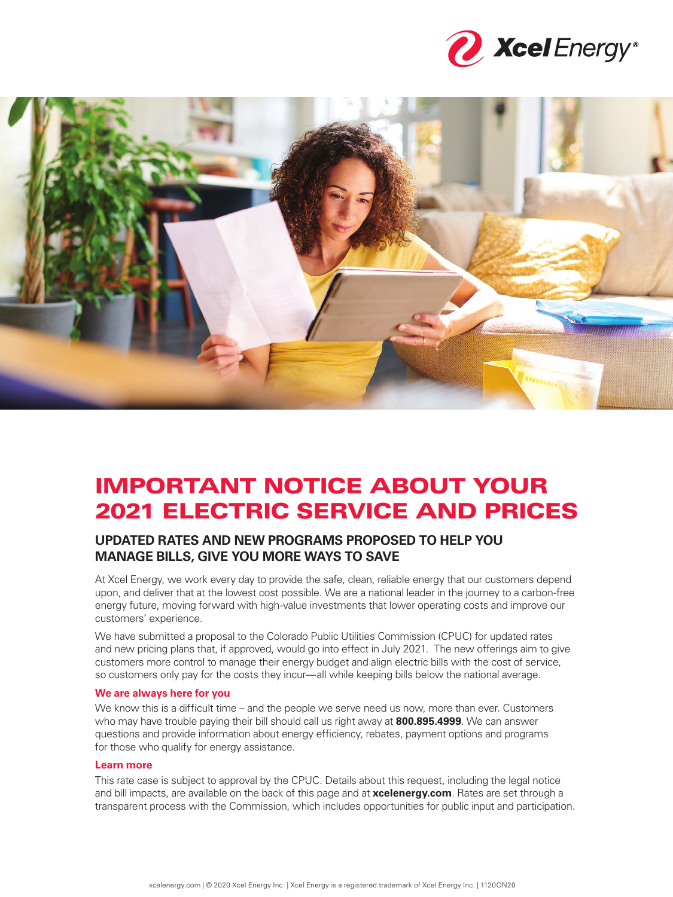



# IMPORTANT NOTICE ABOUT YOUR 2021 ELECTRIC SERVICE AND PRICES

## **UPDATED RATES AND NEW PROGRAMS PROPOSED TO HELP YOU MANAGE BILLS, GIVE YOU MORE WAYS TO SAVE**

At Xcel Energy, we work every day to provide the safe, clean, reliable energy that our customers depend upon, and deliver that at the lowest cost possible. We are a national leader in the journey to a carbon-free energy future, moving forward with high-value investments that lower operating costs and improve our customers' experience.

We have submitted a proposal to the Colorado Public Utilities Commission (CPUC) for updated rates and new pricing plans that, if approved, would go into effect in July 2021. The new offerings aim to give customers more control to manage their energy budget and align electric bills with the cost of service, so customers only pay for the costs they incur—all while keeping bills below the national average.

#### **We are always here for you**

We know this is a difficult time – and the people we serve need us now, more than ever. Customers who may have trouble paying their bill should call us right away at **800.895.4999**. We can answer questions and provide information about energy efficiency, rebates, payment options and programs for those who qualify for energy assistance.

#### **Learn more**

This rate case is subject to approval by the CPUC. Details about this request, including the legal notice and bill impacts, are available on the back of this page and at **xcelenergy.com**. Rates are set through a transparent process with the Commission, which includes opportunities for public input and participation.